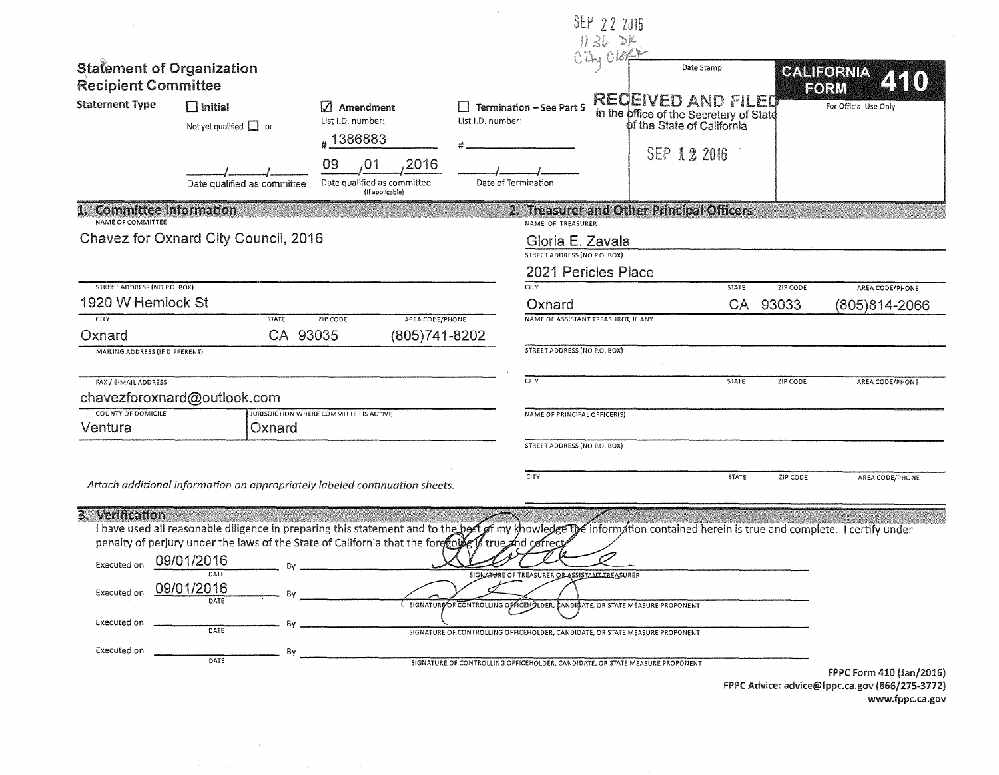|                                                                             |                                                                                                                                                                                                                                                                                                                                          |                                                                     |                                        | SEP 22 2016<br>$1136$ DK                                                                                                                                                                                      |                                                                                                    |              |          |                           |
|-----------------------------------------------------------------------------|------------------------------------------------------------------------------------------------------------------------------------------------------------------------------------------------------------------------------------------------------------------------------------------------------------------------------------------|---------------------------------------------------------------------|----------------------------------------|---------------------------------------------------------------------------------------------------------------------------------------------------------------------------------------------------------------|----------------------------------------------------------------------------------------------------|--------------|----------|---------------------------|
| <b>Statement of Organization</b><br><b>Recipient Committee</b>              |                                                                                                                                                                                                                                                                                                                                          |                                                                     |                                        | OZY OLOFE                                                                                                                                                                                                     | Date Stamp                                                                                         |              |          | <b>GALIFORNIA</b><br>FORM |
| <b>Statement Type</b>                                                       | $\Box$ Initial<br>Not yet qualified $\Box$ or                                                                                                                                                                                                                                                                                            | Amendment<br>List I.D. number:<br>#1386883                          | List I.D. number:                      | Termination - See Part 5                                                                                                                                                                                      | <b>RECEIVED AND FILED</b><br>in the office of the Secretary of State<br>of the State of California |              |          | For Official Use Only     |
|                                                                             | Date qualified as committee                                                                                                                                                                                                                                                                                                              | 2016<br>09<br>,01<br>Date qualified as committee<br>(if applicable) |                                        | Date of Termination                                                                                                                                                                                           | SEP 12 2016                                                                                        |              |          |                           |
| 1. Committee Information<br>NAME OF COMMITTEE                               |                                                                                                                                                                                                                                                                                                                                          |                                                                     |                                        | 2. Treasurer and Other Principal Officers<br>NAME OF TREASURER                                                                                                                                                |                                                                                                    |              |          |                           |
|                                                                             | Chavez for Oxnard City Council, 2016                                                                                                                                                                                                                                                                                                     |                                                                     |                                        | Gloria E. Zavala                                                                                                                                                                                              |                                                                                                    |              |          |                           |
|                                                                             |                                                                                                                                                                                                                                                                                                                                          |                                                                     |                                        | STREET ADDRESS (NO P.O. BOX)<br>2021 Pericles Place                                                                                                                                                           |                                                                                                    |              |          |                           |
| <b>STREET ADDRESS (NO P.O. BOX)</b>                                         |                                                                                                                                                                                                                                                                                                                                          |                                                                     |                                        | <b>CITY</b>                                                                                                                                                                                                   |                                                                                                    | <b>STATE</b> | ZIP CODE | AREA CODE/PHONE           |
| 1920 W Hemlock St<br><b>CITY</b>                                            | <b>STATE</b>                                                                                                                                                                                                                                                                                                                             | AREA CODE/PHONE<br>ZIP CODE                                         |                                        | Oxnard<br>NAME OF ASSISTANT TREASURER, IF ANY                                                                                                                                                                 |                                                                                                    | CA           | 93033    | (805)814-2066             |
| Oxnard                                                                      | CA 93035                                                                                                                                                                                                                                                                                                                                 | (805) 741-8202                                                      |                                        |                                                                                                                                                                                                               |                                                                                                    |              |          |                           |
| MAILING ADDRESS (IF DIFFERENT)                                              |                                                                                                                                                                                                                                                                                                                                          |                                                                     |                                        | <b>STREET ADDRESS (NO P.O. BOX)</b>                                                                                                                                                                           |                                                                                                    |              |          |                           |
| FAX / E-MAIL ADDRESS                                                        | chavezforoxnard@outlook.com                                                                                                                                                                                                                                                                                                              |                                                                     |                                        | CITY                                                                                                                                                                                                          |                                                                                                    | <b>STATE</b> | ZIP CODE | AREA CODE/PHONE           |
| COUNTY OF DOMICILE<br>Ventura                                               | Oxnard                                                                                                                                                                                                                                                                                                                                   | JURISDICTION WHERE COMMITTEE IS ACTIVE                              |                                        | NAME OF PRINCIPAL OFFICER(S)                                                                                                                                                                                  |                                                                                                    |              |          |                           |
|                                                                             |                                                                                                                                                                                                                                                                                                                                          |                                                                     |                                        | STREET ADDRESS (NO P.O. BOX)                                                                                                                                                                                  |                                                                                                    |              |          |                           |
|                                                                             | Attach additional information on appropriately labeled continuation sheets.                                                                                                                                                                                                                                                              |                                                                     |                                        | <b>CITY</b>                                                                                                                                                                                                   |                                                                                                    | <b>STATE</b> | ZIP CODE | AREA CODE/PHONE           |
| 3. Verification<br>Executed on<br>Executed on<br>Executed on<br>Executed on | I have used all reasonable diligence in preparing this statement and to the best of my knowledge the information contained herein is true and complete. I certify under<br>penalty of perjury under the laws of the State of California that the forecoile is true and correct<br>09/01/2016<br>DATE<br>09/01/2016<br>DATE<br>By<br>DATE |                                                                     | SIGNATURE OF CONTROLLING OF ICEHOLDER, | SIGNATURE OF TREASURER OB ASSISTANT TREASURER<br>SIGNATURE OF CONTROLLING OFFICEHOLDER, CANDIDATE, OR STATE MEASURE PROPONENT<br>SIGNATURE OF CONTROLLING OFFICEHOLDER, CANDIDATE, OR STATE MEASURE PROPONENT | <b>CANDIDATE, OR STATE MEASURE PROPONENT</b>                                                       |              |          |                           |
|                                                                             |                                                                                                                                                                                                                                                                                                                                          |                                                                     |                                        |                                                                                                                                                                                                               |                                                                                                    |              |          | FPPC Form 410 (Jan/2016)  |

FPPC Advice: advice@fppc.ca.gov (866/275-3772) www.fppc.ca.gov  $\sim$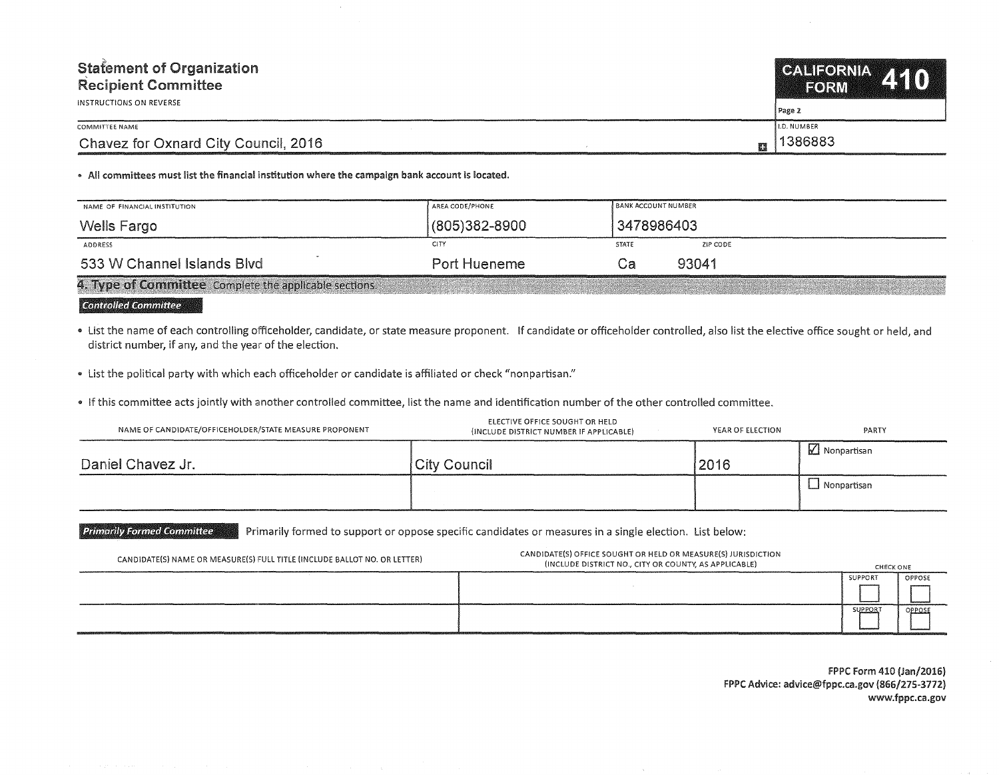| <b>Statement of Organization</b><br><b>Recipient Committee</b> | CALIFORNIA 44 N<br><b>TEORMA</b> |
|----------------------------------------------------------------|----------------------------------|
| INSTRUCTIONS ON REVERSE                                        | Page 2                           |
| COMMITTEE NAME                                                 | <b>I.D. NUMBER</b>               |
| Chavez for Oxnard City Council, 2016                           | 1386883                          |

. All committees must list the financial institution where the campaign bank account is located.

| NAME OF FINANCIAL INSTITUTION                          | AREA CODE/PHONE     | <b>BANK ACCOUNT NUMBER</b> |          |
|--------------------------------------------------------|---------------------|----------------------------|----------|
| Wells Fargo                                            | $(805)382 - 8900$   | 3478986403                 |          |
| ADDRESS                                                | CITY                | <b>STATE</b>               | ZIP CODE |
| 533 W Channel Islands Blvd                             | <b>Port Hueneme</b> | . a                        | 93041    |
| 4. Type of Committee Complete the applicable sections. |                     |                            |          |

**Controlled Committee** 

. List the name of each controlling officeholder, candidate, or state measure proponent. If candidate or officeholder controlled, also list the elective office sought or held, and district number, if any, and the year of the election.

• List the political party with which each officeholder or candidate is affiliated or check "nonpartisan."

. If this committee acts jointly with another controlled committee, list the name and identification number of the other controlled committee.

| NAME OF CANDIDATE/OFFICEHOLDER/STATE MEASURE PROPONENT | ELECTIVE OFFICE SOUGHT OR HELD<br>(INCLUDE DISTRICT NUMBER IF APPLICABLE) | YEAR OF ELECTION | <b>PARTY</b>       |
|--------------------------------------------------------|---------------------------------------------------------------------------|------------------|--------------------|
| Daniel Chavez Jr.                                      | City Council                                                              | 2016             | $\Box$ Nonpartisan |
|                                                        |                                                                           |                  | Nonpartisan        |

**Primarily Formed Committee** Primarily formed to support or oppose specific candidates or measures in a single election. List below:

| CANDIDATE(S) NAME OR MEASURE(S) FULL TITLE (INCLUDE BALLOT NO. OR LETTER)                                                                                                                                                     | CANDIDATE(S) OFFICE SOUGHT OR HELD OR MEASURE(S) JURISDICTION<br>(INCLUDE DISTRICT NO., CITY OR COUNTY, AS APPLICABLE) | CHECK ONE      |        |
|-------------------------------------------------------------------------------------------------------------------------------------------------------------------------------------------------------------------------------|------------------------------------------------------------------------------------------------------------------------|----------------|--------|
|                                                                                                                                                                                                                               |                                                                                                                        | SUPPORT        | OPPOSE |
|                                                                                                                                                                                                                               |                                                                                                                        |                |        |
| CONTRACTMENT OF THE ENTIRE REPORT OF THE CONTRACT OF A PROPERTY AND RELEASED FOR THE CONTRACT OF THE CONTRACT OF THE CONTRACT OF THE CONTRACT OF THE CONTRACT OF THE CONTRACT OF THE CONTRACT OF THE CONTRACT OF THE CONTRACT |                                                                                                                        | <b>SUPPORT</b> | OPPOSE |
|                                                                                                                                                                                                                               |                                                                                                                        |                |        |

FPPC Form 410 (Jan/2016) FPPC Advice: advice@fppc.ca.gov (866/275-3772) www.fppc.ca.gov